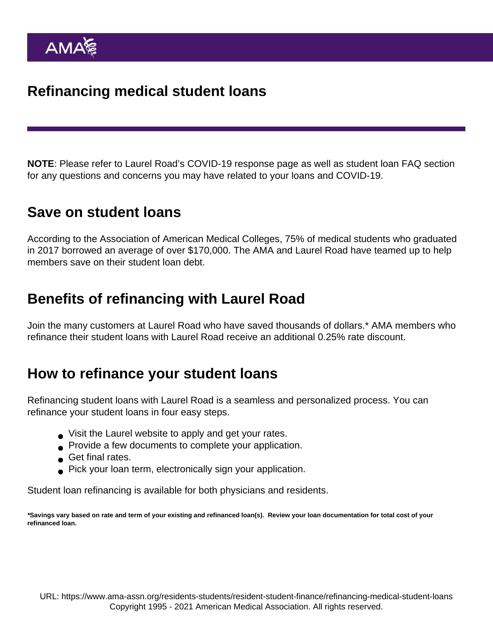NOTE: Please refer to [Laurel Road's COVID-19 response page](https://www.laurelroad.com/coronavirus-response/) as well as [student loan FAQ section](https://www.laurelroad.com/faq_category/student-loan/) for any questions and concerns you may have related to your loans and COVID-19.

## Save on student loans

According to the Association of American Medical Colleges, 75% of medical students who graduated in 2017 borrowed an average of over \$170,000. The AMA and Laurel Road have teamed up to help members save on their student loan debt.

## Benefits of refinancing with Laurel Road

Join the many customers at Laurel Road who have saved thousands of dollars.\* AMA members who refinance their student loans with Laurel Road receive an additional 0.25% rate discount.

## How to refinance your student loans

Refinancing student loans with Laurel Road is a seamless and personalized process. You can refinance your student loans in four easy steps.

- Visit the Laurel website to apply and get your rates.
- **Provide a few documents to complete your application.**
- Get final rates.
- Pick your loan term, electronically sign your application.

Student loan refinancing is available for both [physicians](https://www.laurelroad.com/partnerships/ama-physicians/) and [residents.](https://www.laurelroad.com/partnerships/ama-residents/)

\*Savings vary based on rate and term of your existing and refinanced loan(s). Review your loan documentation for total cost of your refinanced loan.